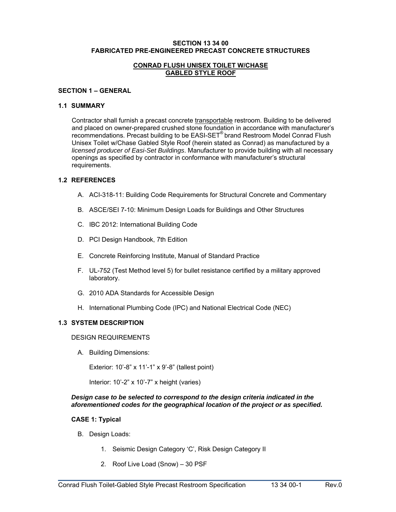### **SECTION 13 34 00 FABRICATED PRE-ENGINEERED PRECAST CONCRETE STRUCTURES**

### **CONRAD FLUSH UNISEX TOILET W/CHASE GABLED STYLE ROOF**

### **SECTION 1 – GENERAL**

### **1.1 SUMMARY**

Contractor shall furnish a precast concrete transportable restroom. Building to be delivered and placed on owner-prepared crushed stone foundation in accordance with manufacturer's recommendations. Precast building to be EASI-SET® brand Restroom Model Conrad Flush Unisex Toilet w/Chase Gabled Style Roof (herein stated as Conrad) as manufactured by a *licensed producer of Easi-Set Buildings*. Manufacturer to provide building with all necessary openings as specified by contractor in conformance with manufacturer's structural requirements.

### **1.2 REFERENCES**

- A. ACI-318-11: Building Code Requirements for Structural Concrete and Commentary
- B. ASCE/SEI 7-10: Minimum Design Loads for Buildings and Other Structures
- C. IBC 2012: International Building Code
- D. PCI Design Handbook, 7th Edition
- E. Concrete Reinforcing Institute, Manual of Standard Practice
- F. UL-752 (Test Method level 5) for bullet resistance certified by a military approved laboratory.
- G. 2010 ADA Standards for Accessible Design
- H. International Plumbing Code (IPC) and National Electrical Code (NEC)

### **1.3 SYSTEM DESCRIPTION**

### DESIGN REQUIREMENTS

A. Building Dimensions:

Exterior: 10'-8" x 11'-1" x 9'-8" (tallest point)

Interior: 10'-2" x 10'-7" x height (varies)

### *Design case to be selected to correspond to the design criteria indicated in the aforementioned codes for the geographical location of the project or as specified.*

 $\overline{\phantom{a}}$  , and the contract of the contract of the contract of the contract of the contract of the contract of the contract of the contract of the contract of the contract of the contract of the contract of the contrac

### **CASE 1: Typical**

- B. Design Loads:
	- 1. Seismic Design Category 'C', Risk Design Category II
	- 2. Roof Live Load (Snow) 30 PSF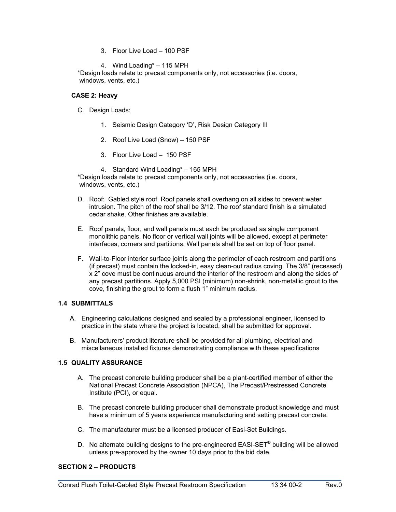3. Floor Live Load – 100 PSF

4. Wind Loading\* – 115 MPH

\*Design loads relate to precast components only, not accessories (i.e. doors, windows, vents, etc.)

### **CASE 2: Heavy**

- C. Design Loads:
	- 1. Seismic Design Category 'D', Risk Design Category III
	- 2. Roof Live Load (Snow) 150 PSF
	- 3. Floor Live Load 150 PSF
	- 4. Standard Wind Loading\* 165 MPH

\*Design loads relate to precast components only, not accessories (i.e. doors, windows, vents, etc.)

- D. Roof: Gabled style roof. Roof panels shall overhang on all sides to prevent water intrusion. The pitch of the roof shall be 3/12. The roof standard finish is a simulated cedar shake. Other finishes are available.
- E. Roof panels, floor, and wall panels must each be produced as single component monolithic panels. No floor or vertical wall joints will be allowed, except at perimeter interfaces, corners and partitions. Wall panels shall be set on top of floor panel.
- F. Wall-to-Floor interior surface joints along the perimeter of each restroom and partitions (if precast) must contain the locked-in, easy clean-out radius coving. The 3/8" (recessed) x 2" cove must be continuous around the interior of the restroom and along the sides of any precast partitions. Apply 5,000 PSI (minimum) non-shrink, non-metallic grout to the cove, finishing the grout to form a flush 1" minimum radius.

## **1.4 SUBMITTALS**

- A. Engineering calculations designed and sealed by a professional engineer, licensed to practice in the state where the project is located, shall be submitted for approval.
- B. Manufacturers' product literature shall be provided for all plumbing, electrical and miscellaneous installed fixtures demonstrating compliance with these specifications

## **1.5 QUALITY ASSURANCE**

- A. The precast concrete building producer shall be a plant-certified member of either the National Precast Concrete Association (NPCA), The Precast/Prestressed Concrete Institute (PCI), or equal.
- B. The precast concrete building producer shall demonstrate product knowledge and must have a minimum of 5 years experience manufacturing and setting precast concrete.
- C. The manufacturer must be a licensed producer of Easi-Set Buildings.
- D. No alternate building designs to the pre-engineered EASI-SET**®** building will be allowed unless pre-approved by the owner 10 days prior to the bid date.

 $\overline{\phantom{a}}$  , and the contract of the contract of the contract of the contract of the contract of the contract of the contract of the contract of the contract of the contract of the contract of the contract of the contrac

# **SECTION 2 – PRODUCTS**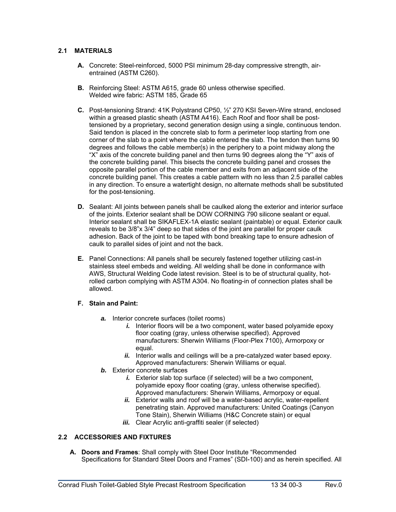# **2.1 MATERIALS**

- **A.** Concrete: Steel-reinforced, 5000 PSI minimum 28-day compressive strength, airentrained (ASTM C260).
- **B.** Reinforcing Steel: ASTM A615, grade 60 unless otherwise specified. Welded wire fabric: ASTM 185, Grade 65
- **C.** Post-tensioning Strand: 41K Polystrand CP50, ½" 270 KSI Seven-Wire strand, enclosed within a greased plastic sheath (ASTM A416). Each Roof and floor shall be posttensioned by a proprietary, second generation design using a single, continuous tendon. Said tendon is placed in the concrete slab to form a perimeter loop starting from one corner of the slab to a point where the cable entered the slab. The tendon then turns 90 degrees and follows the cable member(s) in the periphery to a point midway along the "X" axis of the concrete building panel and then turns 90 degrees along the "Y" axis of the concrete building panel. This bisects the concrete building panel and crosses the opposite parallel portion of the cable member and exits from an adjacent side of the concrete building panel. This creates a cable pattern with no less than 2.5 parallel cables in any direction. To ensure a watertight design, no alternate methods shall be substituted for the post-tensioning.
- **D.** Sealant: All joints between panels shall be caulked along the exterior and interior surface of the joints. Exterior sealant shall be DOW CORNING 790 silicone sealant or equal. Interior sealant shall be SIKAFLEX-1A elastic sealant (paintable) or equal. Exterior caulk reveals to be 3/8"x 3/4" deep so that sides of the joint are parallel for proper caulk adhesion. Back of the joint to be taped with bond breaking tape to ensure adhesion of caulk to parallel sides of joint and not the back.
- **E.** Panel Connections: All panels shall be securely fastened together utilizing cast-in stainless steel embeds and welding. All welding shall be done in conformance with AWS, Structural Welding Code latest revision. Steel is to be of structural quality, hotrolled carbon complying with ASTM A304. No floating-in of connection plates shall be allowed.

## **F. Stain and Paint:**

- **a.** Interior concrete surfaces (toilet rooms)
	- *i.* Interior floors will be a two component, water based polyamide epoxy floor coating (gray, unless otherwise specified). Approved manufacturers: Sherwin Williams (Floor-Plex 7100), Armorpoxy or equal.
	- *ii.* Interior walls and ceilings will be a pre-catalyzed water based epoxy. Approved manufacturers: Sherwin Williams or equal.
- *b.* Exterior concrete surfaces
	- *i.* Exterior slab top surface (if selected) will be a two component, polyamide epoxy floor coating (gray, unless otherwise specified). Approved manufacturers: Sherwin Williams, Armorpoxy or equal.
	- *ii.* Exterior walls and roof will be a water-based acrylic, water-repellent penetrating stain. Approved manufacturers: United Coatings (Canyon Tone Stain), Sherwin Williams (H&C Concrete stain) or equal
	- *iii.* Clear Acrylic anti-graffiti sealer (if selected)

# **2.2 ACCESSORIES AND FIXTURES**

**A. Doors and Frames**: Shall comply with Steel Door Institute "Recommended Specifications for Standard Steel Doors and Frames" (SDI-100) and as herein specified. All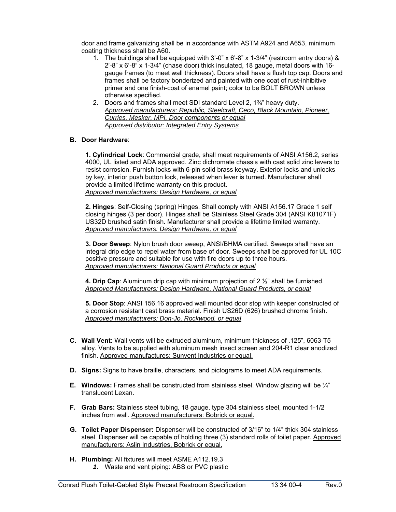door and frame galvanizing shall be in accordance with ASTM A924 and A653, minimum coating thickness shall be A60.

- 1. The buildings shall be equipped with 3'-0" x 6'-8" x 1-3/4" (restroom entry doors) & 2'-8" x 6'-8" x 1-3/4" (chase door) thick insulated, 18 gauge, metal doors with 16 gauge frames (to meet wall thickness). Doors shall have a flush top cap. Doors and frames shall be factory bonderized and painted with one coat of rust-inhibitive primer and one finish-coat of enamel paint; color to be BOLT BROWN unless otherwise specified.
- 2. Doors and frames shall meet SDI standard Level 2, 1¾" heavy duty. *Approved manufacturers: Republic, Steelcraft, Ceco, Black Mountain, Pioneer, Curries, Mesker, MPI, Door components or equal Approved distributor: Integrated Entry Systems*

### **B. Door Hardware**:

**1. Cylindrical Lock**: Commercial grade, shall meet requirements of ANSI A156.2, series 4000, UL listed and ADA approved. Zinc dichromate chassis with cast solid zinc levers to resist corrosion. Furnish locks with 6-pin solid brass keyway. Exterior locks and unlocks by key, interior push button lock, released when lever is turned. Manufacturer shall provide a limited lifetime warranty on this product. *Approved manufacturers: Design Hardware, or equal* 

**2. Hinges**: Self-Closing (spring) Hinges. Shall comply with ANSI A156.17 Grade 1 self closing hinges (3 per door). Hinges shall be Stainless Steel Grade 304 (ANSI K81071F) US32D brushed satin finish. Manufacturer shall provide a lifetime limited warranty. *Approved manufacturers: Design Hardware, or equal* 

**3. Door Sweep**: Nylon brush door sweep, ANSI/BHMA certified. Sweeps shall have an integral drip edge to repel water from base of door. Sweeps shall be approved for UL 10C positive pressure and suitable for use with fire doors up to three hours. *Approved manufacturers: National Guard Products or equal* 

**4. Drip Cap**: Aluminum drip cap with minimum projection of 2 ½" shall be furnished. *Approved Manufacturers: Design Hardware, National Guard Products, or equal* 

**5. Door Stop**: ANSI 156.16 approved wall mounted door stop with keeper constructed of a corrosion resistant cast brass material. Finish US26D (626) brushed chrome finish. *Approved manufacturers: Don-Jo, Rockwood, or equal* 

- **C. Wall Vent:** Wall vents will be extruded aluminum, minimum thickness of .125", 6063-T5 alloy. Vents to be supplied with aluminum mesh insect screen and 204-R1 clear anodized finish. Approved manufactures: Sunvent Industries or equal.
- **D. Signs:** Signs to have braille, characters, and pictograms to meet ADA requirements.
- **E.** Windows: Frames shall be constructed from stainless steel. Window glazing will be  $\frac{1}{4}$ " translucent Lexan.
- **F. Grab Bars:** Stainless steel tubing, 18 gauge, type 304 stainless steel, mounted 1-1/2 inches from wall. Approved manufacturers: Bobrick or equal.
- **G. Toilet Paper Dispenser:** Dispenser will be constructed of 3/16" to 1/4" thick 304 stainless steel. Dispenser will be capable of holding three (3) standard rolls of toilet paper. Approved manufacturers: Aslin Industries, Bobrick or equal.

 $\overline{\phantom{a}}$  , and the contract of the contract of the contract of the contract of the contract of the contract of the contract of the contract of the contract of the contract of the contract of the contract of the contrac

**H. Plumbing:** All fixtures will meet ASME A112.19.3 *1.* Waste and vent piping: ABS or PVC plastic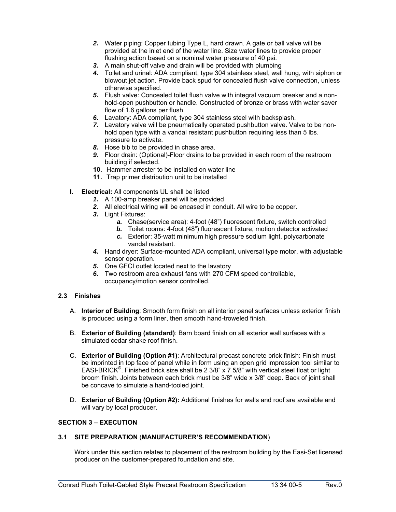- *2.* Water piping: Copper tubing Type L, hard drawn. A gate or ball valve will be provided at the inlet end of the water line. Size water lines to provide proper flushing action based on a nominal water pressure of 40 psi.
- *3.* A main shut-off valve and drain will be provided with plumbing
- *4.* Toilet and urinal: ADA compliant, type 304 stainless steel, wall hung, with siphon or blowout jet action. Provide back spud for concealed flush valve connection, unless otherwise specified.
- *5.* Flush valve: Concealed toilet flush valve with integral vacuum breaker and a nonhold-open pushbutton or handle. Constructed of bronze or brass with water saver flow of 1.6 gallons per flush.
- *6.* Lavatory: ADA compliant, type 304 stainless steel with backsplash.
- *7.* Lavatory valve will be pneumatically operated pushbutton valve. Valve to be nonhold open type with a vandal resistant pushbutton requiring less than 5 lbs. pressure to activate.
- *8.* Hose bib to be provided in chase area.
- *9.* Floor drain: (Optional)-Floor drains to be provided in each room of the restroom building if selected.
- **10.** Hammer arrester to be installed on water line
- **11.** Trap primer distribution unit to be installed
- **I. Electrical:** All components UL shall be listed
	- *1.* A 100-amp breaker panel will be provided
	- *2.* All electrical wiring will be encased in conduit. All wire to be copper.
	- *3.* Light Fixtures:
		- *a.* Chase(service area): 4-foot (48") fluorescent fixture, switch controlled
		- **b.** Toilet rooms: 4-foot (48") fluorescent fixture, motion detector activated
		- *c.* Exterior: 35-watt minimum high pressure sodium light, polycarbonate vandal resistant.
	- *4.* Hand dryer: Surface-mounted ADA compliant, universal type motor, with adjustable sensor operation.
	- *5.* One GFCI outlet located next to the lavatory
	- *6.* Two restroom area exhaust fans with 270 CFM speed controllable, occupancy/motion sensor controlled.

# **2.3 Finishes**

- A. **Interior of Building**: Smooth form finish on all interior panel surfaces unless exterior finish is produced using a form liner, then smooth hand-troweled finish.
- B. **Exterior of Building (standard)**: Barn board finish on all exterior wall surfaces with a simulated cedar shake roof finish.
- C. **Exterior of Building (Option #1)**: Architectural precast concrete brick finish: Finish must be imprinted in top face of panel while in form using an open grid impression tool similar to EASI-BRICK**®** . Finished brick size shall be 2 3/8" x 7 5/8" with vertical steel float or light broom finish. Joints between each brick must be 3/8" wide x 3/8" deep. Back of joint shall be concave to simulate a hand-tooled joint.
- D. **Exterior of Building (Option #2):** Additional finishes for walls and roof are available and will vary by local producer.

### **SECTION 3 – EXECUTION**

## **3.1 SITE PREPARATION** (**MANUFACTURER'S RECOMMENDATION**)

Work under this section relates to placement of the restroom building by the Easi-Set licensed producer on the customer-prepared foundation and site.

 $\overline{\phantom{a}}$  , and the contract of the contract of the contract of the contract of the contract of the contract of the contract of the contract of the contract of the contract of the contract of the contract of the contrac